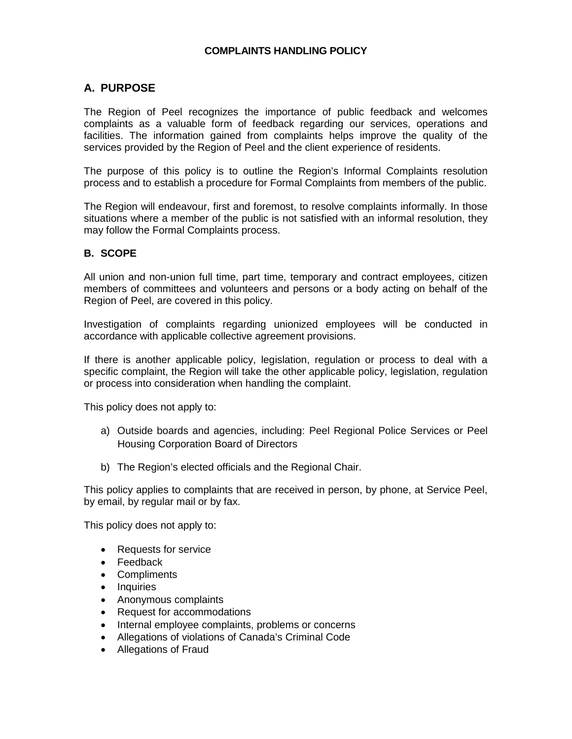# **COMPLAINTS HANDLING POLICY**

# **A. PURPOSE**

The Region of Peel recognizes the importance of public feedback and welcomes complaints as a valuable form of feedback regarding our services, operations and facilities. The information gained from complaints helps improve the quality of the services provided by the Region of Peel and the client experience of residents.

The purpose of this policy is to outline the Region's Informal Complaints resolution process and to establish a procedure for Formal Complaints from members of the public.

The Region will endeavour, first and foremost, to resolve complaints informally. In those situations where a member of the public is not satisfied with an informal resolution, they may follow the Formal Complaints process.

# **B. SCOPE**

All union and non-union full time, part time, temporary and contract employees, citizen members of committees and volunteers and persons or a body acting on behalf of the Region of Peel, are covered in this policy.

Investigation of complaints regarding unionized employees will be conducted in accordance with applicable collective agreement provisions.

If there is another applicable policy, legislation, regulation or process to deal with a specific complaint, the Region will take the other applicable policy, legislation, regulation or process into consideration when handling the complaint.

This policy does not apply to:

- a) Outside boards and agencies, including: Peel Regional Police Services or Peel Housing Corporation Board of Directors
- b) The Region's elected officials and the Regional Chair.

This policy applies to complaints that are received in person, by phone, at Service Peel, by email, by regular mail or by fax.

This policy does not apply to:

- Requests for service
- Feedback
- Compliments
- Inquiries
- Anonymous complaints
- Request for accommodations
- Internal employee complaints, problems or concerns
- Allegations of violations of Canada's Criminal Code
- Allegations of Fraud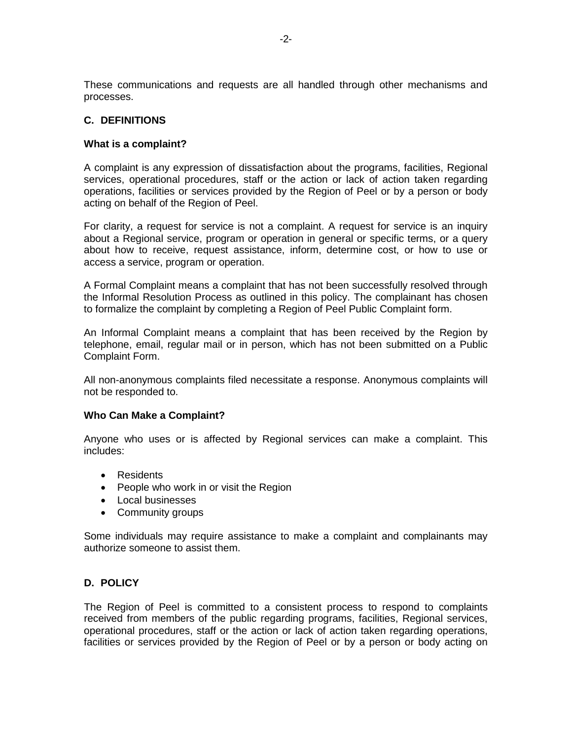These communications and requests are all handled through other mechanisms and processes.

## **C. DEFINITIONS**

## **What is a complaint?**

A complaint is any expression of dissatisfaction about the programs, facilities, Regional services, operational procedures, staff or the action or lack of action taken regarding operations, facilities or services provided by the Region of Peel or by a person or body acting on behalf of the Region of Peel.

For clarity, a request for service is not a complaint. A request for service is an inquiry about a Regional service, program or operation in general or specific terms, or a query about how to receive, request assistance, inform, determine cost, or how to use or access a service, program or operation.

A Formal Complaint means a complaint that has not been successfully resolved through the Informal Resolution Process as outlined in this policy. The complainant has chosen to formalize the complaint by completing a Region of Peel Public Complaint form.

An Informal Complaint means a complaint that has been received by the Region by telephone, email, regular mail or in person, which has not been submitted on a Public Complaint Form.

All non-anonymous complaints filed necessitate a response. Anonymous complaints will not be responded to.

### **Who Can Make a Complaint?**

Anyone who uses or is affected by Regional services can make a complaint. This includes:

- Residents
- People who work in or visit the Region
- Local businesses
- Community groups

Some individuals may require assistance to make a complaint and complainants may authorize someone to assist them.

# **D. POLICY**

The Region of Peel is committed to a consistent process to respond to complaints received from members of the public regarding programs, facilities, Regional services, operational procedures, staff or the action or lack of action taken regarding operations, facilities or services provided by the Region of Peel or by a person or body acting on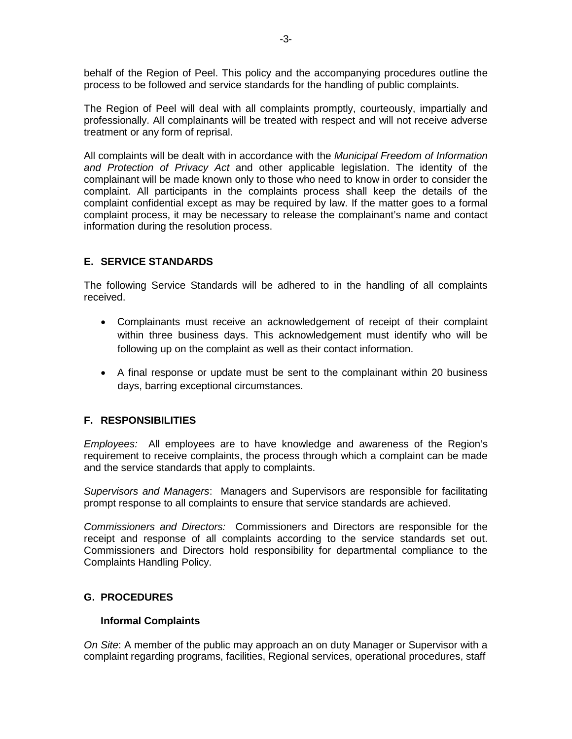behalf of the Region of Peel. This policy and the accompanying procedures outline the process to be followed and service standards for the handling of public complaints.

The Region of Peel will deal with all complaints promptly, courteously, impartially and professionally. All complainants will be treated with respect and will not receive adverse treatment or any form of reprisal.

All complaints will be dealt with in accordance with the *Municipal Freedom of Information and Protection of Privacy Act* and other applicable legislation. The identity of the complainant will be made known only to those who need to know in order to consider the complaint. All participants in the complaints process shall keep the details of the complaint confidential except as may be required by law. If the matter goes to a formal complaint process, it may be necessary to release the complainant's name and contact information during the resolution process.

# **E. SERVICE STANDARDS**

The following Service Standards will be adhered to in the handling of all complaints received.

- Complainants must receive an acknowledgement of receipt of their complaint within three business days. This acknowledgement must identify who will be following up on the complaint as well as their contact information.
- A final response or update must be sent to the complainant within 20 business days, barring exceptional circumstances.

# **F. RESPONSIBILITIES**

*Employees:* All employees are to have knowledge and awareness of the Region's requirement to receive complaints, the process through which a complaint can be made and the service standards that apply to complaints.

*Supervisors and Managers*: Managers and Supervisors are responsible for facilitating prompt response to all complaints to ensure that service standards are achieved.

*Commissioners and Directors:* Commissioners and Directors are responsible for the receipt and response of all complaints according to the service standards set out. Commissioners and Directors hold responsibility for departmental compliance to the Complaints Handling Policy.

# **G. PROCEDURES**

### **Informal Complaints**

*On Site*: A member of the public may approach an on duty Manager or Supervisor with a complaint regarding programs, facilities, Regional services, operational procedures, staff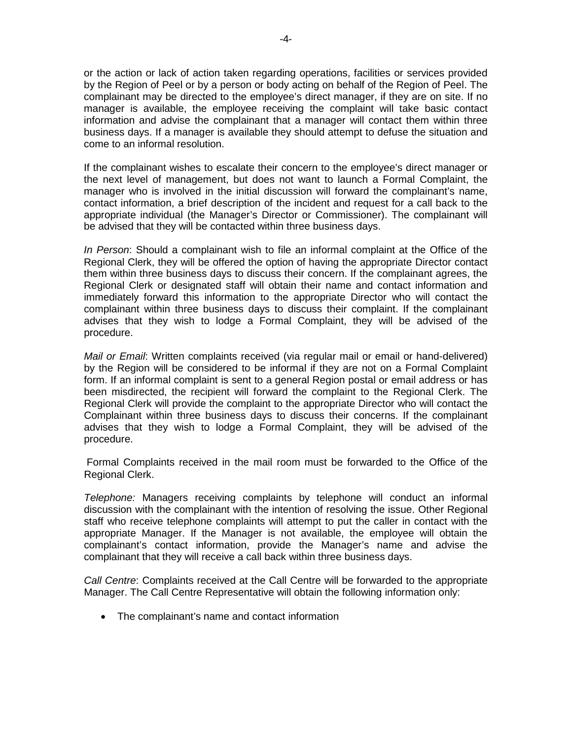or the action or lack of action taken regarding operations, facilities or services provided by the Region of Peel or by a person or body acting on behalf of the Region of Peel. The complainant may be directed to the employee's direct manager, if they are on site. If no manager is available, the employee receiving the complaint will take basic contact information and advise the complainant that a manager will contact them within three business days. If a manager is available they should attempt to defuse the situation and come to an informal resolution.

If the complainant wishes to escalate their concern to the employee's direct manager or the next level of management, but does not want to launch a Formal Complaint, the manager who is involved in the initial discussion will forward the complainant's name, contact information, a brief description of the incident and request for a call back to the appropriate individual (the Manager's Director or Commissioner). The complainant will be advised that they will be contacted within three business days.

*In Person*: Should a complainant wish to file an informal complaint at the Office of the Regional Clerk, they will be offered the option of having the appropriate Director contact them within three business days to discuss their concern. If the complainant agrees, the Regional Clerk or designated staff will obtain their name and contact information and immediately forward this information to the appropriate Director who will contact the complainant within three business days to discuss their complaint. If the complainant advises that they wish to lodge a Formal Complaint, they will be advised of the procedure.

*Mail or Email*: Written complaints received (via regular mail or email or hand-delivered) by the Region will be considered to be informal if they are not on a Formal Complaint form. If an informal complaint is sent to a general Region postal or email address or has been misdirected, the recipient will forward the complaint to the Regional Clerk. The Regional Clerk will provide the complaint to the appropriate Director who will contact the Complainant within three business days to discuss their concerns. If the complainant advises that they wish to lodge a Formal Complaint, they will be advised of the procedure.

Formal Complaints received in the mail room must be forwarded to the Office of the Regional Clerk.

*Telephone:* Managers receiving complaints by telephone will conduct an informal discussion with the complainant with the intention of resolving the issue. Other Regional staff who receive telephone complaints will attempt to put the caller in contact with the appropriate Manager. If the Manager is not available, the employee will obtain the complainant's contact information, provide the Manager's name and advise the complainant that they will receive a call back within three business days.

*Call Centre*: Complaints received at the Call Centre will be forwarded to the appropriate Manager. The Call Centre Representative will obtain the following information only:

• The complainant's name and contact information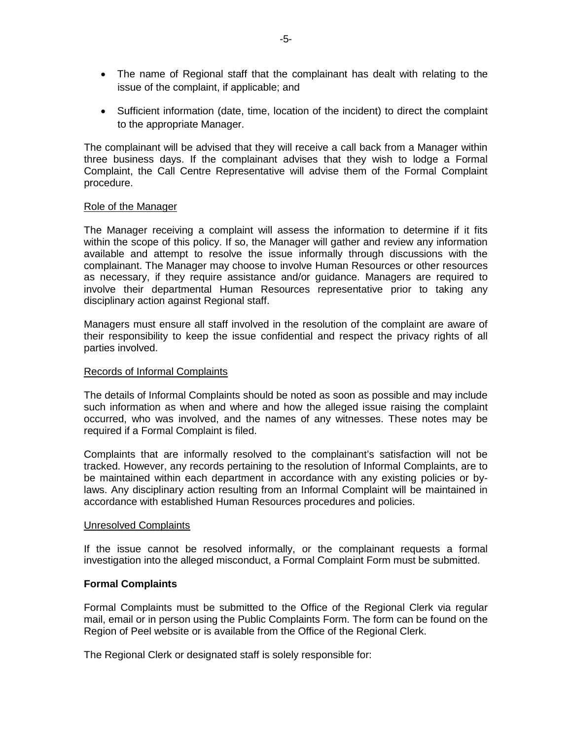- The name of Regional staff that the complainant has dealt with relating to the issue of the complaint, if applicable; and
- Sufficient information (date, time, location of the incident) to direct the complaint to the appropriate Manager.

The complainant will be advised that they will receive a call back from a Manager within three business days. If the complainant advises that they wish to lodge a Formal Complaint, the Call Centre Representative will advise them of the Formal Complaint procedure.

#### Role of the Manager

The Manager receiving a complaint will assess the information to determine if it fits within the scope of this policy. If so, the Manager will gather and review any information available and attempt to resolve the issue informally through discussions with the complainant. The Manager may choose to involve Human Resources or other resources as necessary, if they require assistance and/or guidance. Managers are required to involve their departmental Human Resources representative prior to taking any disciplinary action against Regional staff.

Managers must ensure all staff involved in the resolution of the complaint are aware of their responsibility to keep the issue confidential and respect the privacy rights of all parties involved.

#### Records of Informal Complaints

The details of Informal Complaints should be noted as soon as possible and may include such information as when and where and how the alleged issue raising the complaint occurred, who was involved, and the names of any witnesses. These notes may be required if a Formal Complaint is filed.

Complaints that are informally resolved to the complainant's satisfaction will not be tracked. However, any records pertaining to the resolution of Informal Complaints, are to be maintained within each department in accordance with any existing policies or bylaws. Any disciplinary action resulting from an Informal Complaint will be maintained in accordance with established Human Resources procedures and policies.

#### Unresolved Complaints

If the issue cannot be resolved informally, or the complainant requests a formal investigation into the alleged misconduct, a Formal Complaint Form must be submitted.

### **Formal Complaints**

Formal Complaints must be submitted to the Office of the Regional Clerk via regular mail, email or in person using the Public Complaints Form. The form can be found on the Region of Peel website or is available from the Office of the Regional Clerk.

The Regional Clerk or designated staff is solely responsible for: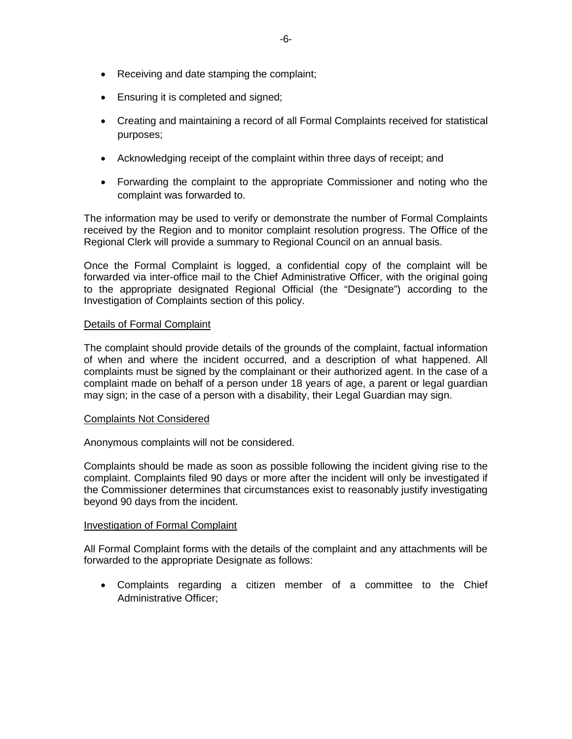- Receiving and date stamping the complaint;
- Ensuring it is completed and signed;
- Creating and maintaining a record of all Formal Complaints received for statistical purposes;
- Acknowledging receipt of the complaint within three days of receipt; and
- Forwarding the complaint to the appropriate Commissioner and noting who the complaint was forwarded to.

The information may be used to verify or demonstrate the number of Formal Complaints received by the Region and to monitor complaint resolution progress. The Office of the Regional Clerk will provide a summary to Regional Council on an annual basis.

Once the Formal Complaint is logged, a confidential copy of the complaint will be forwarded via inter-office mail to the Chief Administrative Officer, with the original going to the appropriate designated Regional Official (the "Designate") according to the Investigation of Complaints section of this policy.

## Details of Formal Complaint

The complaint should provide details of the grounds of the complaint, factual information of when and where the incident occurred, and a description of what happened. All complaints must be signed by the complainant or their authorized agent. In the case of a complaint made on behalf of a person under 18 years of age, a parent or legal guardian may sign; in the case of a person with a disability, their Legal Guardian may sign.

### Complaints Not Considered

Anonymous complaints will not be considered.

Complaints should be made as soon as possible following the incident giving rise to the complaint. Complaints filed 90 days or more after the incident will only be investigated if the Commissioner determines that circumstances exist to reasonably justify investigating beyond 90 days from the incident.

### Investigation of Formal Complaint

All Formal Complaint forms with the details of the complaint and any attachments will be forwarded to the appropriate Designate as follows:

• Complaints regarding a citizen member of a committee to the Chief Administrative Officer;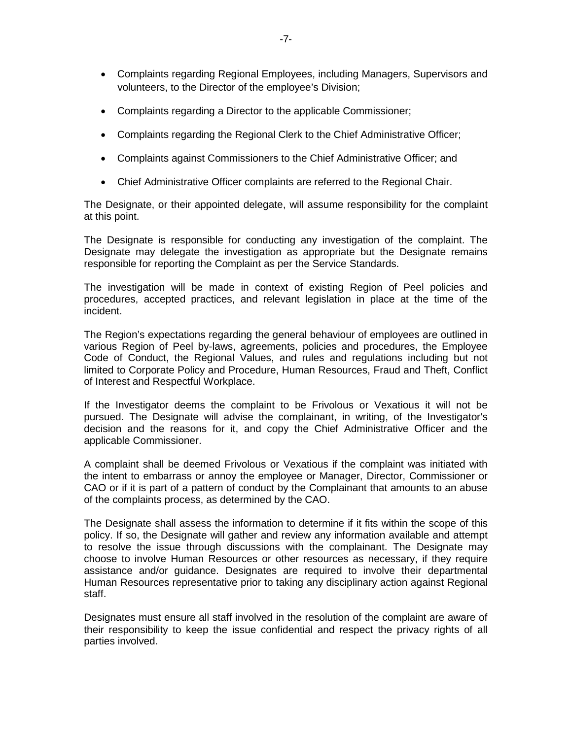- Complaints regarding Regional Employees, including Managers, Supervisors and volunteers, to the Director of the employee's Division;
- Complaints regarding a Director to the applicable Commissioner;
- Complaints regarding the Regional Clerk to the Chief Administrative Officer;
- Complaints against Commissioners to the Chief Administrative Officer; and
- Chief Administrative Officer complaints are referred to the Regional Chair.

The Designate, or their appointed delegate, will assume responsibility for the complaint at this point.

The Designate is responsible for conducting any investigation of the complaint. The Designate may delegate the investigation as appropriate but the Designate remains responsible for reporting the Complaint as per the Service Standards.

The investigation will be made in context of existing Region of Peel policies and procedures, accepted practices, and relevant legislation in place at the time of the incident.

The Region's expectations regarding the general behaviour of employees are outlined in various Region of Peel by-laws, agreements, policies and procedures, the Employee Code of Conduct, the Regional Values, and rules and regulations including but not limited to Corporate Policy and Procedure, Human Resources, Fraud and Theft, Conflict of Interest and Respectful Workplace.

If the Investigator deems the complaint to be Frivolous or Vexatious it will not be pursued. The Designate will advise the complainant, in writing, of the Investigator's decision and the reasons for it, and copy the Chief Administrative Officer and the applicable Commissioner.

A complaint shall be deemed Frivolous or Vexatious if the complaint was initiated with the intent to embarrass or annoy the employee or Manager, Director, Commissioner or CAO or if it is part of a pattern of conduct by the Complainant that amounts to an abuse of the complaints process, as determined by the CAO.

The Designate shall assess the information to determine if it fits within the scope of this policy. If so, the Designate will gather and review any information available and attempt to resolve the issue through discussions with the complainant. The Designate may choose to involve Human Resources or other resources as necessary, if they require assistance and/or guidance. Designates are required to involve their departmental Human Resources representative prior to taking any disciplinary action against Regional staff.

Designates must ensure all staff involved in the resolution of the complaint are aware of their responsibility to keep the issue confidential and respect the privacy rights of all parties involved.